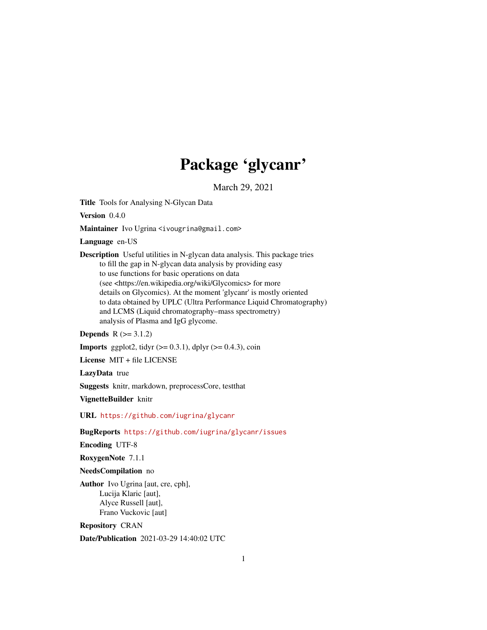# Package 'glycanr'

March 29, 2021

<span id="page-0-0"></span>Title Tools for Analysing N-Glycan Data

Version 0.4.0

Maintainer Ivo Ugrina <ivougrina@gmail.com>

Language en-US

Description Useful utilities in N-glycan data analysis. This package tries to fill the gap in N-glycan data analysis by providing easy to use functions for basic operations on data (see <https://en.wikipedia.org/wiki/Glycomics> for more details on Glycomics). At the moment 'glycanr' is mostly oriented to data obtained by UPLC (Ultra Performance Liquid Chromatography) and LCMS (Liquid chromatography–mass spectrometry) analysis of Plasma and IgG glycome.

**Depends**  $R$  ( $> = 3.1.2$ )

**Imports** ggplot2, tidyr  $(>= 0.3.1)$ , dplyr  $(>= 0.4.3)$ , coin

License MIT + file LICENSE

LazyData true

Suggests knitr, markdown, preprocessCore, testthat

VignetteBuilder knitr

URL <https://github.com/iugrina/glycanr>

BugReports <https://github.com/iugrina/glycanr/issues>

Encoding UTF-8

RoxygenNote 7.1.1

#### NeedsCompilation no

Author Ivo Ugrina [aut, cre, cph], Lucija Klaric [aut], Alyce Russell [aut], Frano Vuckovic [aut]

Repository CRAN

Date/Publication 2021-03-29 14:40:02 UTC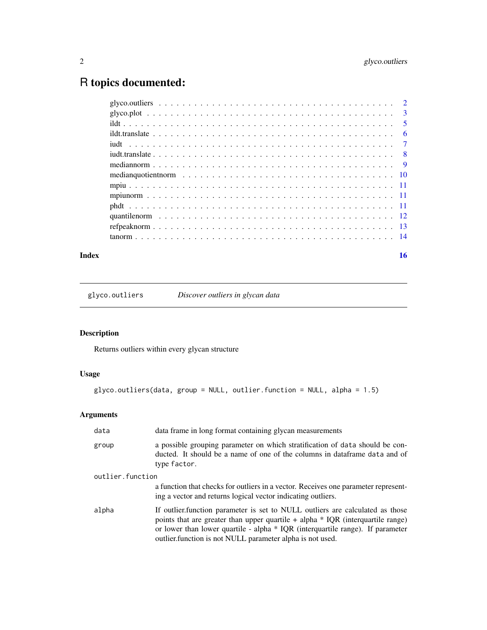# <span id="page-1-0"></span>R topics documented:

| $\overline{\phantom{0}}$ 5 |
|----------------------------|
| - 6                        |
|                            |
|                            |
|                            |
|                            |
|                            |
|                            |
|                            |
|                            |
|                            |
|                            |
|                            |

#### **Index** and the contract of the contract of the contract of the contract of the contract of the contract of the contract of the contract of the contract of the contract of the contract of the contract of the contract of th

glyco.outliers *Discover outliers in glycan data*

# Description

Returns outliers within every glycan structure

# Usage

```
glyco.outliers(data, group = NULL, outlier.function = NULL, alpha = 1.5)
```
# Arguments

| data             | data frame in long format containing glycan measurements                                                                                                                                                                                                                                                             |
|------------------|----------------------------------------------------------------------------------------------------------------------------------------------------------------------------------------------------------------------------------------------------------------------------------------------------------------------|
| group            | a possible grouping parameter on which stratification of data should be con-<br>ducted. It should be a name of one of the columns in data frame data and of<br>type factor.                                                                                                                                          |
| outlier.function |                                                                                                                                                                                                                                                                                                                      |
|                  | a function that checks for outliers in a vector. Receives one parameter represent-<br>ing a vector and returns logical vector indicating outliers.                                                                                                                                                                   |
| alpha            | If outlier function parameter is set to NULL outliers are calculated as those<br>points that are greater than upper quartile $+$ alpha $*$ IQR (interquartile range)<br>or lower than lower quartile - alpha * IQR (interquartile range). If parameter<br>outlier. function is not NULL parameter alpha is not used. |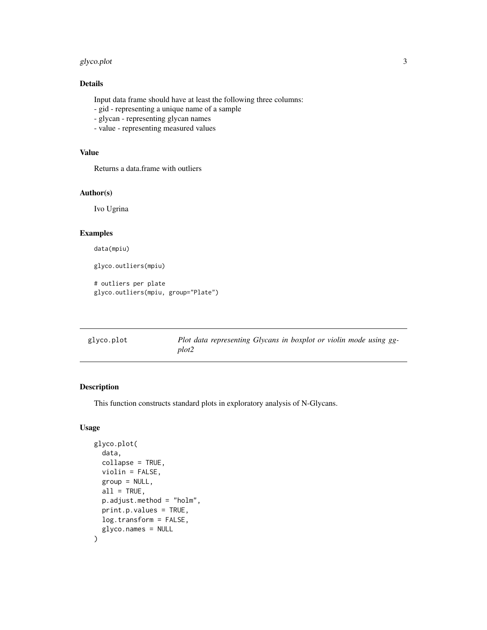#### <span id="page-2-0"></span>glyco.plot 3

# Details

Input data frame should have at least the following three columns:

- gid representing a unique name of a sample
- glycan representing glycan names
- value representing measured values

# Value

Returns a data.frame with outliers

# Author(s)

Ivo Ugrina

# Examples

data(mpiu)

glyco.outliers(mpiu)

```
# outliers per plate
glyco.outliers(mpiu, group="Plate")
```

| glyco.plot |
|------------|
|------------|

Plot data representing Glycans in boxplot or violin mode using gg*plot2*

# Description

This function constructs standard plots in exploratory analysis of N-Glycans.

#### Usage

```
glyco.plot(
  data,
  collapse = TRUE,
  violin = FALSE,
  group = NULL,
  all = TRUE,p.adjust.method = "holm",
  print.p.values = TRUE,
  log.transform = FALSE,
  glyco.names = NULL
\mathcal{E}
```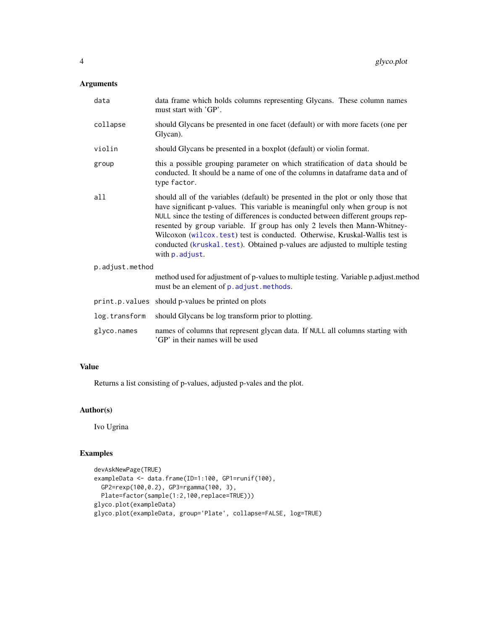# <span id="page-3-0"></span>Arguments

| data            | data frame which holds columns representing Glycans. These column names<br>must start with 'GP'.                                                                                                                                                                                                                                                                                                                                                                                                                      |
|-----------------|-----------------------------------------------------------------------------------------------------------------------------------------------------------------------------------------------------------------------------------------------------------------------------------------------------------------------------------------------------------------------------------------------------------------------------------------------------------------------------------------------------------------------|
| collapse        | should Glycans be presented in one facet (default) or with more facets (one per<br>Glycan).                                                                                                                                                                                                                                                                                                                                                                                                                           |
| violin          | should Glycans be presented in a boxplot (default) or violin format.                                                                                                                                                                                                                                                                                                                                                                                                                                                  |
| group           | this a possible grouping parameter on which stratification of data should be<br>conducted. It should be a name of one of the columns in dataframe data and of<br>type factor.                                                                                                                                                                                                                                                                                                                                         |
| a11             | should all of the variables (default) be presented in the plot or only those that<br>have significant p-values. This variable is meaningful only when group is not<br>NULL since the testing of differences is conducted between different groups rep-<br>resented by group variable. If group has only 2 levels then Mann-Whitney-<br>Wilcoxon (wilcox.test) test is conducted. Otherwise, Kruskal-Wallis test is<br>conducted (kruskal.test). Obtained p-values are adjusted to multiple testing<br>with p. adjust. |
| p.adjust.method |                                                                                                                                                                                                                                                                                                                                                                                                                                                                                                                       |
|                 | method used for adjustment of p-values to multiple testing. Variable p.adjust.method<br>must be an element of p. adjust. methods.                                                                                                                                                                                                                                                                                                                                                                                     |
|                 | print.p.values should p-values be printed on plots                                                                                                                                                                                                                                                                                                                                                                                                                                                                    |
| log.transform   | should Glycans be log transform prior to plotting.                                                                                                                                                                                                                                                                                                                                                                                                                                                                    |
| glyco.names     | names of columns that represent glycan data. If NULL all columns starting with<br>'GP' in their names will be used                                                                                                                                                                                                                                                                                                                                                                                                    |

#### Value

Returns a list consisting of p-values, adjusted p-vales and the plot.

# Author(s)

Ivo Ugrina

# Examples

```
devAskNewPage(TRUE)
exampleData <- data.frame(ID=1:100, GP1=runif(100),
 GP2=rexp(100,0.2), GP3=rgamma(100, 3),
  Plate=factor(sample(1:2,100,replace=TRUE)))
glyco.plot(exampleData)
glyco.plot(exampleData, group='Plate', collapse=FALSE, log=TRUE)
```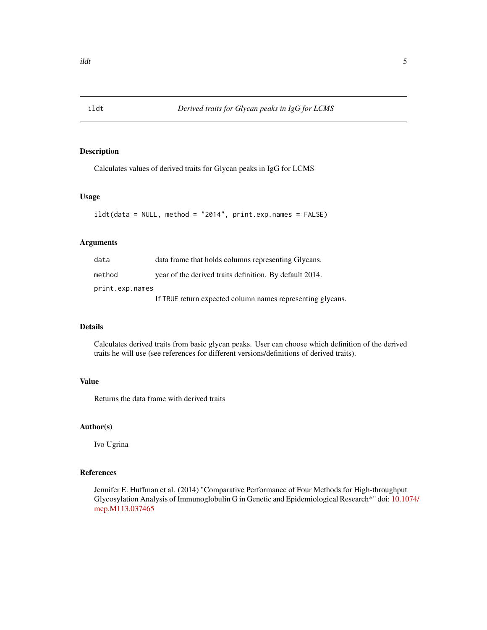<span id="page-4-0"></span>

Calculates values of derived traits for Glycan peaks in IgG for LCMS

## Usage

```
ildt(data = NULL, method = "2014", print.exp.names = FALSE)
```
# Arguments

| data            | data frame that holds columns representing Glycans.        |  |
|-----------------|------------------------------------------------------------|--|
| method          | year of the derived traits definition. By default 2014.    |  |
| print.exp.names |                                                            |  |
|                 | If TRUE return expected column names representing glycans. |  |

#### Details

Calculates derived traits from basic glycan peaks. User can choose which definition of the derived traits he will use (see references for different versions/definitions of derived traits).

#### Value

Returns the data frame with derived traits

#### Author(s)

Ivo Ugrina

# References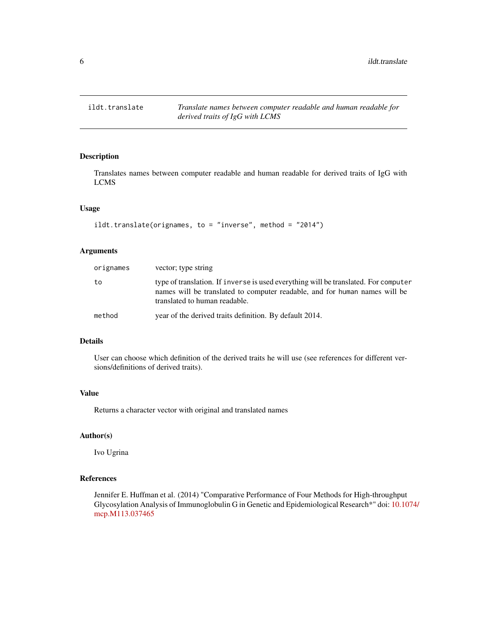<span id="page-5-0"></span>

Translates names between computer readable and human readable for derived traits of IgG with LCMS

# Usage

```
ildt.translate(orignames, to = "inverse", method = "2014")
```
# Arguments

| orignames | vector; type string                                                                                                                                                                                |
|-----------|----------------------------------------------------------------------------------------------------------------------------------------------------------------------------------------------------|
| to        | type of translation. If inverse is used everything will be translated. For computer<br>names will be translated to computer readable, and for human names will be<br>translated to human readable. |
| method    | year of the derived traits definition. By default 2014.                                                                                                                                            |

# Details

User can choose which definition of the derived traits he will use (see references for different versions/definitions of derived traits).

# Value

Returns a character vector with original and translated names

#### Author(s)

Ivo Ugrina

# References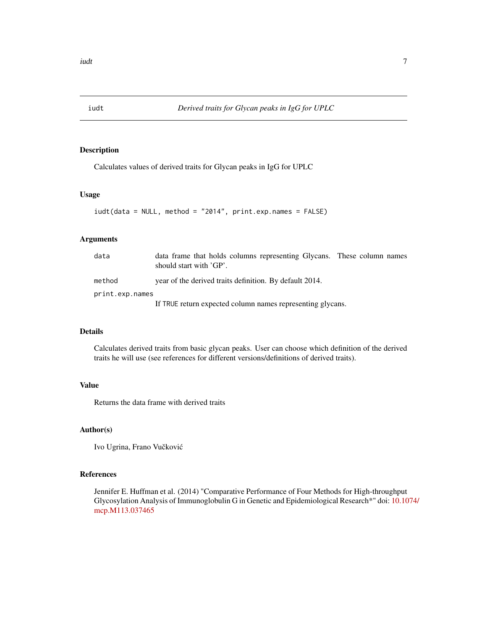<span id="page-6-0"></span>

Calculates values of derived traits for Glycan peaks in IgG for UPLC

# Usage

```
iudt(data = NULL, method = "2014", print.exp.names = FALSE)
```
#### Arguments

| data            | data frame that holds columns representing Glycans. These column names<br>should start with 'GP'. |  |
|-----------------|---------------------------------------------------------------------------------------------------|--|
| method          | year of the derived traits definition. By default 2014.                                           |  |
| print.exp.names |                                                                                                   |  |
|                 | If TRUE return expected column names representing glycans.                                        |  |

#### Details

Calculates derived traits from basic glycan peaks. User can choose which definition of the derived traits he will use (see references for different versions/definitions of derived traits).

# Value

Returns the data frame with derived traits

#### Author(s)

Ivo Ugrina, Frano Vučković

#### References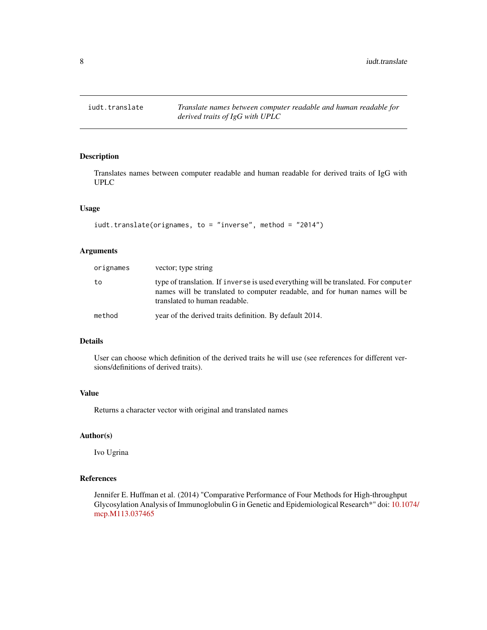<span id="page-7-0"></span>

Translates names between computer readable and human readable for derived traits of IgG with UPLC

# Usage

```
iudt.translate(orignames, to = "inverse", method = "2014")
```
# Arguments

| orignames | vector; type string                                                                                                                                                                                |
|-----------|----------------------------------------------------------------------------------------------------------------------------------------------------------------------------------------------------|
| to        | type of translation. If inverse is used everything will be translated. For computer<br>names will be translated to computer readable, and for human names will be<br>translated to human readable. |
| method    | year of the derived traits definition. By default 2014.                                                                                                                                            |

# Details

User can choose which definition of the derived traits he will use (see references for different versions/definitions of derived traits).

# Value

Returns a character vector with original and translated names

#### Author(s)

Ivo Ugrina

#### References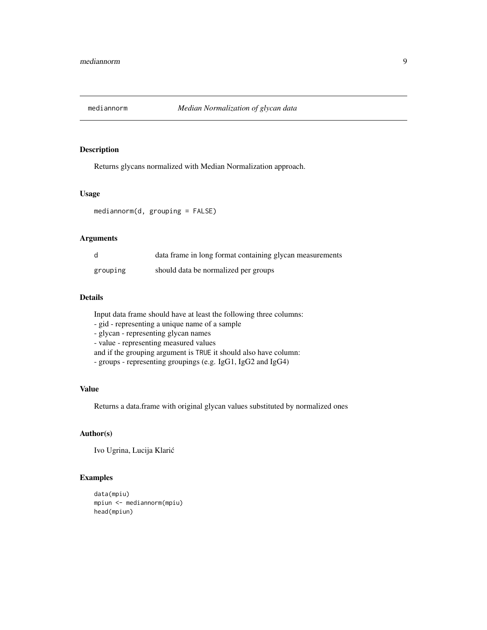<span id="page-8-0"></span>

Returns glycans normalized with Median Normalization approach.

#### Usage

mediannorm(d, grouping = FALSE)

#### Arguments

| d        | data frame in long format containing glycan measurements |
|----------|----------------------------------------------------------|
| grouping | should data be normalized per groups                     |

#### Details

Input data frame should have at least the following three columns:

- gid - representing a unique name of a sample

- glycan - representing glycan names

- value - representing measured values

and if the grouping argument is TRUE it should also have column:

- groups - representing groupings (e.g. IgG1, IgG2 and IgG4)

# Value

Returns a data.frame with original glycan values substituted by normalized ones

# Author(s)

Ivo Ugrina, Lucija Klaric´

#### Examples

```
data(mpiu)
mpiun <- mediannorm(mpiu)
head(mpiun)
```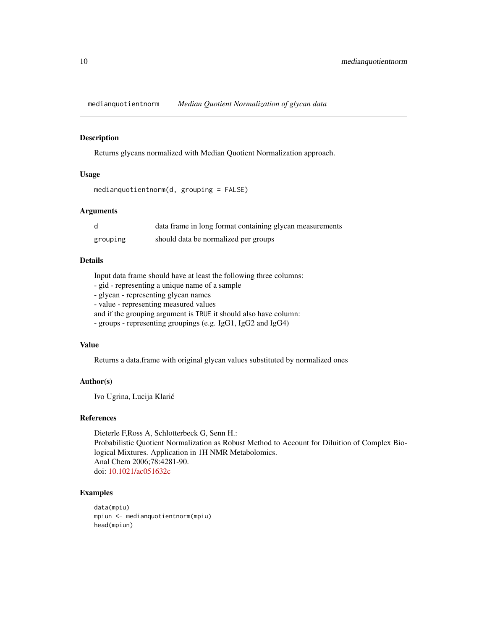<span id="page-9-0"></span>medianquotientnorm *Median Quotient Normalization of glycan data*

#### Description

Returns glycans normalized with Median Quotient Normalization approach.

# Usage

```
medianquotientnorm(d, grouping = FALSE)
```
#### Arguments

| d        | data frame in long format containing glycan measurements |
|----------|----------------------------------------------------------|
| grouping | should data be normalized per groups                     |

#### Details

Input data frame should have at least the following three columns:

- gid - representing a unique name of a sample

- glycan - representing glycan names

- value - representing measured values

and if the grouping argument is TRUE it should also have column:

- groups - representing groupings (e.g. IgG1, IgG2 and IgG4)

#### Value

Returns a data.frame with original glycan values substituted by normalized ones

#### Author(s)

Ivo Ugrina, Lucija Klaric´

#### References

Dieterle F,Ross A, Schlotterbeck G, Senn H.: Probabilistic Quotient Normalization as Robust Method to Account for Diluition of Complex Biological Mixtures. Application in 1H NMR Metabolomics. Anal Chem 2006;78:4281-90. doi: [10.1021/ac051632c](https://doi.org/10.1021/ac051632c)

#### Examples

```
data(mpiu)
mpiun <- medianquotientnorm(mpiu)
head(mpiun)
```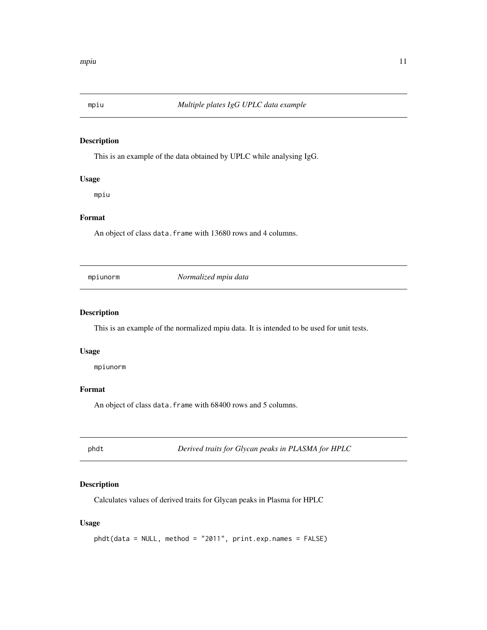<span id="page-10-0"></span>

This is an example of the data obtained by UPLC while analysing IgG.

# Usage

mpiu

# Format

An object of class data. frame with 13680 rows and 4 columns.

mpiunorm *Normalized mpiu data*

#### Description

This is an example of the normalized mpiu data. It is intended to be used for unit tests.

# Usage

mpiunorm

# Format

An object of class data. frame with 68400 rows and 5 columns.

phdt *Derived traits for Glycan peaks in PLASMA for HPLC*

# Description

Calculates values of derived traits for Glycan peaks in Plasma for HPLC

#### Usage

```
phdt(data = NULL, method = "2011", print.exp.names = FALSE)
```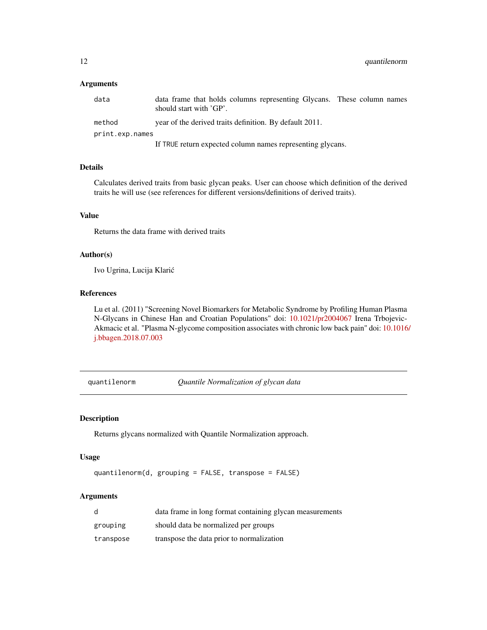#### <span id="page-11-0"></span>Arguments

| data            | data frame that holds columns representing Glycans. These column names<br>should start with 'GP'. |  |
|-----------------|---------------------------------------------------------------------------------------------------|--|
| method          | year of the derived traits definition. By default 2011.                                           |  |
| print.exp.names |                                                                                                   |  |
|                 | If TRUE return expected column names representing glycans.                                        |  |

#### Details

Calculates derived traits from basic glycan peaks. User can choose which definition of the derived traits he will use (see references for different versions/definitions of derived traits).

#### Value

Returns the data frame with derived traits

# Author(s)

Ivo Ugrina, Lucija Klaric´

# References

Lu et al. (2011) "Screening Novel Biomarkers for Metabolic Syndrome by Profiling Human Plasma N-Glycans in Chinese Han and Croatian Populations" doi: [10.1021/pr2004067](https://doi.org/10.1021/pr2004067) Irena Trbojevic-Akmacic et al. "Plasma N-glycome composition associates with chronic low back pain" doi: [10.1016](https://doi.org/10.1016/j.bbagen.2018.07.003)/ [j.bbagen.2018.07.003](https://doi.org/10.1016/j.bbagen.2018.07.003)

quantilenorm *Quantile Normalization of glycan data*

#### Description

Returns glycans normalized with Quantile Normalization approach.

#### Usage

quantilenorm(d, grouping = FALSE, transpose = FALSE)

#### Arguments

| d         | data frame in long format containing glycan measurements |
|-----------|----------------------------------------------------------|
| grouping  | should data be normalized per groups                     |
| transpose | transpose the data prior to normalization                |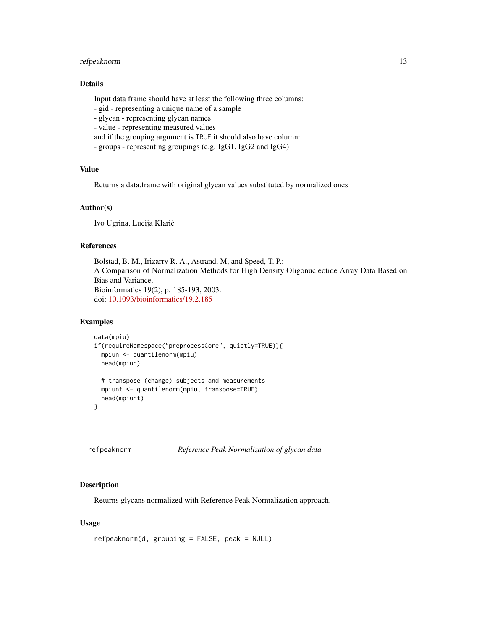# <span id="page-12-0"></span>refpeaknorm 13

## Details

Input data frame should have at least the following three columns:

- gid - representing a unique name of a sample

- glycan - representing glycan names

- value - representing measured values

and if the grouping argument is TRUE it should also have column:

- groups - representing groupings (e.g. IgG1, IgG2 and IgG4)

#### Value

Returns a data.frame with original glycan values substituted by normalized ones

#### Author(s)

Ivo Ugrina, Lucija Klaric´

#### References

Bolstad, B. M., Irizarry R. A., Astrand, M, and Speed, T. P.: A Comparison of Normalization Methods for High Density Oligonucleotide Array Data Based on Bias and Variance. Bioinformatics 19(2), p. 185-193, 2003. doi: [10.1093/bioinformatics/19.2.185](https://doi.org/10.1093/bioinformatics/19.2.185)

#### Examples

```
data(mpiu)
if(requireNamespace("preprocessCore", quietly=TRUE)){
 mpiun <- quantilenorm(mpiu)
 head(mpiun)
 # transpose (change) subjects and measurements
 mpiunt <- quantilenorm(mpiu, transpose=TRUE)
 head(mpiunt)
}
```
refpeaknorm *Reference Peak Normalization of glycan data*

# Description

Returns glycans normalized with Reference Peak Normalization approach.

#### Usage

refpeaknorm(d, grouping = FALSE, peak = NULL)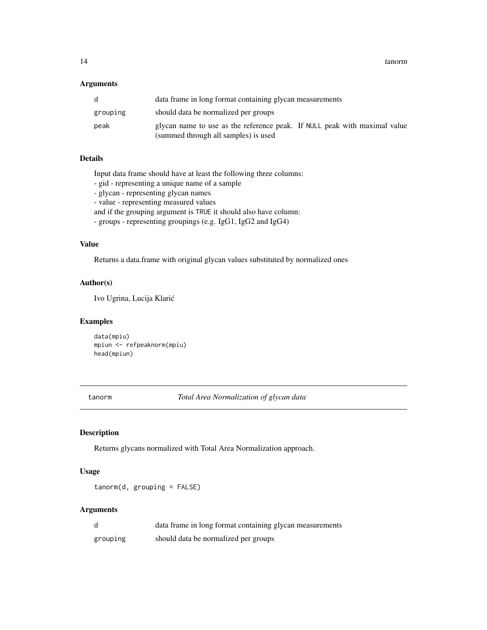<span id="page-13-0"></span>14 tanorm tanorm tanorm tanorm tanorm tanorm tanorm tanorm tanorm tanorm tanorm tanorm tanorm tanorm tanorm tanorm tanorm tanorm tanorm tanorm tanorm tanorm tanorm tanorm tanorm tanorm tanorm tanorm tanorm tanorm tanorm ta

#### Arguments

| d        | data frame in long format containing glycan measurements                                                          |
|----------|-------------------------------------------------------------------------------------------------------------------|
| grouping | should data be normalized per groups                                                                              |
| peak     | glycan name to use as the reference peak. If NULL peak with maximal value<br>(summed through all samples) is used |

# Details

Input data frame should have at least the following three columns:

- gid representing a unique name of a sample
- glycan representing glycan names
- value representing measured values

and if the grouping argument is TRUE it should also have column:

- groups - representing groupings (e.g. IgG1, IgG2 and IgG4)

#### Value

Returns a data.frame with original glycan values substituted by normalized ones

#### Author(s)

Ivo Ugrina, Lucija Klaric´

#### Examples

data(mpiu) mpiun <- refpeaknorm(mpiu) head(mpiun)

tanorm *Total Area Normalization of glycan data*

# Description

Returns glycans normalized with Total Area Normalization approach.

#### Usage

tanorm(d, grouping = FALSE)

#### Arguments

| d        | data frame in long format containing glycan measurements |
|----------|----------------------------------------------------------|
| grouping | should data be normalized per groups                     |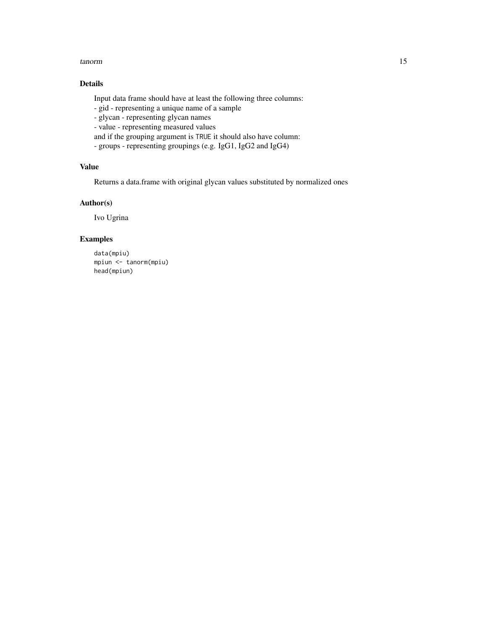#### tanorm and the contract of the contract of the contract of the contract of the contract of the contract of the contract of the contract of the contract of the contract of the contract of the contract of the contract of the

# Details

Input data frame should have at least the following three columns:

- gid - representing a unique name of a sample

- glycan - representing glycan names

- value - representing measured values

and if the grouping argument is TRUE it should also have column:

- groups - representing groupings (e.g. IgG1, IgG2 and IgG4)

# Value

Returns a data.frame with original glycan values substituted by normalized ones

#### Author(s)

Ivo Ugrina

#### Examples

data(mpiu) mpiun <- tanorm(mpiu) head(mpiun)